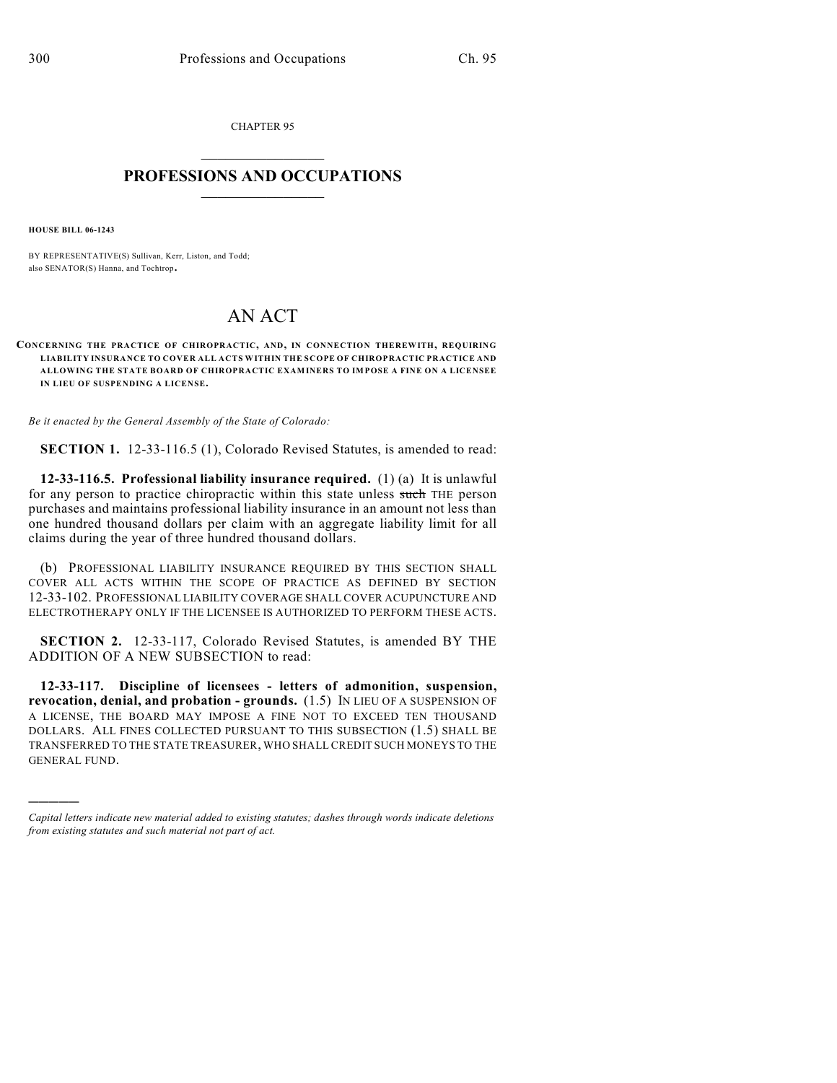CHAPTER 95  $\mathcal{L}_\text{max}$  . The set of the set of the set of the set of the set of the set of the set of the set of the set of the set of the set of the set of the set of the set of the set of the set of the set of the set of the set

## **PROFESSIONS AND OCCUPATIONS**  $\frac{1}{2}$  ,  $\frac{1}{2}$  ,  $\frac{1}{2}$  ,  $\frac{1}{2}$  ,  $\frac{1}{2}$  ,  $\frac{1}{2}$

**HOUSE BILL 06-1243**

)))))

BY REPRESENTATIVE(S) Sullivan, Kerr, Liston, and Todd; also SENATOR(S) Hanna, and Tochtrop.

## AN ACT

**CONCERNING THE PRACTICE OF CHIROPRACTIC, AND, IN CONNECTION THEREWITH, REQUIRING LIABILITY INSURANCE TO COVER ALL ACTS WITHIN THE SCOPE OF CHIROPRACTIC PRACTICE AND ALLOWING THE STATE BOARD OF CHIROPRACTIC EXAMINERS TO IMPOSE A FINE ON A LICENSEE IN LIEU OF SUSPENDING A LICENSE.**

*Be it enacted by the General Assembly of the State of Colorado:*

**SECTION 1.** 12-33-116.5 (1), Colorado Revised Statutes, is amended to read:

**12-33-116.5. Professional liability insurance required.** (1) (a) It is unlawful for any person to practice chiropractic within this state unless such THE person purchases and maintains professional liability insurance in an amount not less than one hundred thousand dollars per claim with an aggregate liability limit for all claims during the year of three hundred thousand dollars.

(b) PROFESSIONAL LIABILITY INSURANCE REQUIRED BY THIS SECTION SHALL COVER ALL ACTS WITHIN THE SCOPE OF PRACTICE AS DEFINED BY SECTION 12-33-102. PROFESSIONAL LIABILITY COVERAGE SHALL COVER ACUPUNCTURE AND ELECTROTHERAPY ONLY IF THE LICENSEE IS AUTHORIZED TO PERFORM THESE ACTS.

**SECTION 2.** 12-33-117, Colorado Revised Statutes, is amended BY THE ADDITION OF A NEW SUBSECTION to read:

**12-33-117. Discipline of licensees - letters of admonition, suspension, revocation, denial, and probation - grounds.** (1.5) IN LIEU OF A SUSPENSION OF A LICENSE, THE BOARD MAY IMPOSE A FINE NOT TO EXCEED TEN THOUSAND DOLLARS. ALL FINES COLLECTED PURSUANT TO THIS SUBSECTION (1.5) SHALL BE TRANSFERRED TO THE STATE TREASURER, WHO SHALL CREDIT SUCH MONEYS TO THE GENERAL FUND.

*Capital letters indicate new material added to existing statutes; dashes through words indicate deletions from existing statutes and such material not part of act.*